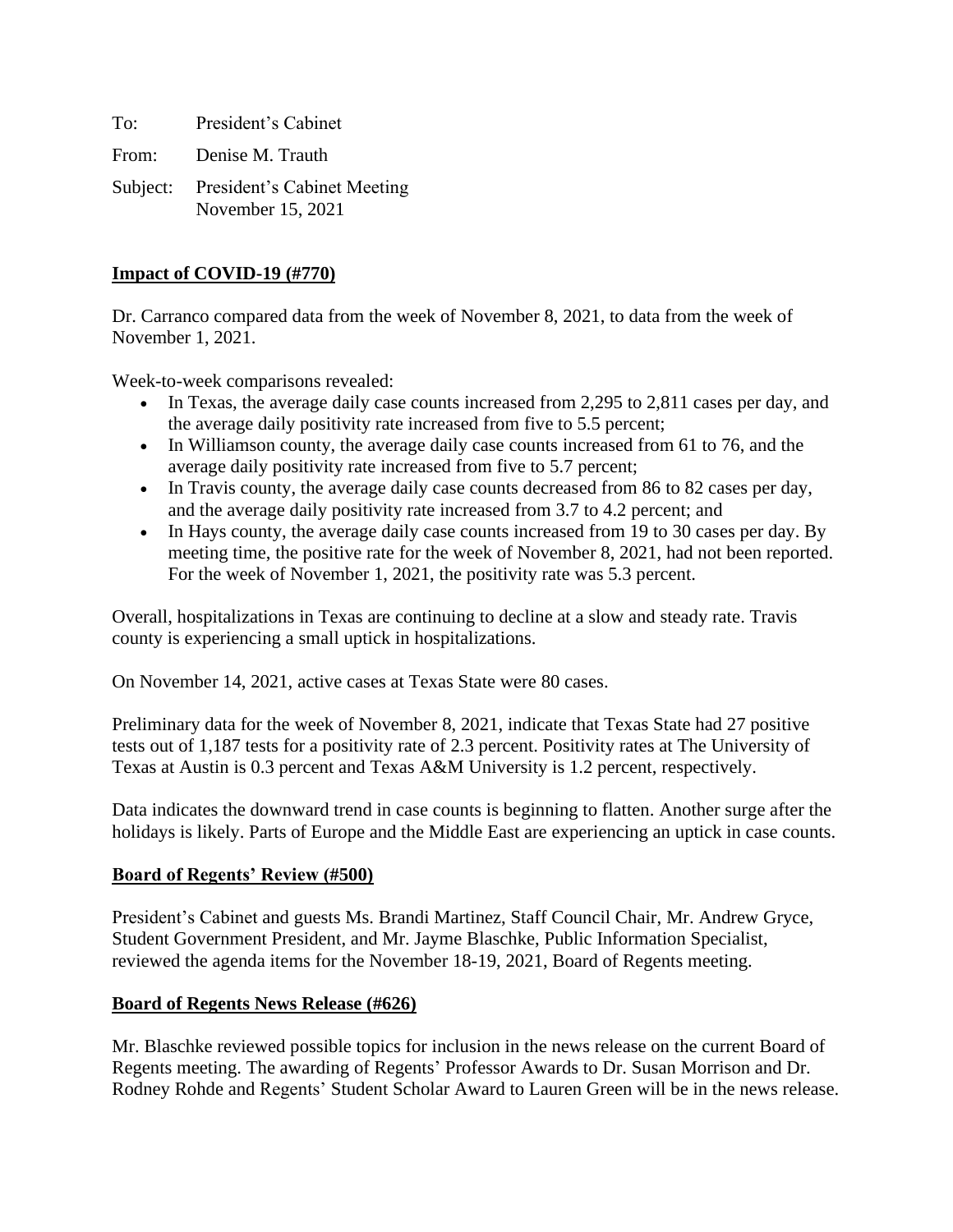To: President's Cabinet

From: Denise M. Trauth

Subject: President's Cabinet Meeting November 15, 2021

### **Impact of COVID-19 (#770)**

Dr. Carranco compared data from the week of November 8, 2021, to data from the week of November 1, 2021.

Week-to-week comparisons revealed:

- In Texas, the average daily case counts increased from 2,295 to 2,811 cases per day, and the average daily positivity rate increased from five to 5.5 percent;
- In Williamson county, the average daily case counts increased from 61 to 76, and the average daily positivity rate increased from five to 5.7 percent;
- In Travis county, the average daily case counts decreased from 86 to 82 cases per day, and the average daily positivity rate increased from 3.7 to 4.2 percent; and
- In Hays county, the average daily case counts increased from 19 to 30 cases per day. By meeting time, the positive rate for the week of November 8, 2021, had not been reported. For the week of November 1, 2021, the positivity rate was 5.3 percent.

Overall, hospitalizations in Texas are continuing to decline at a slow and steady rate. Travis county is experiencing a small uptick in hospitalizations.

On November 14, 2021, active cases at Texas State were 80 cases.

Preliminary data for the week of November 8, 2021, indicate that Texas State had 27 positive tests out of 1,187 tests for a positivity rate of 2.3 percent. Positivity rates at The University of Texas at Austin is 0.3 percent and Texas A&M University is 1.2 percent, respectively.

Data indicates the downward trend in case counts is beginning to flatten. Another surge after the holidays is likely. Parts of Europe and the Middle East are experiencing an uptick in case counts.

### **Board of Regents' Review (#500)**

President's Cabinet and guests Ms. Brandi Martinez, Staff Council Chair, Mr. Andrew Gryce, Student Government President, and Mr. Jayme Blaschke, Public Information Specialist, reviewed the agenda items for the November 18-19, 2021, Board of Regents meeting.

# **Board of Regents News Release (#626)**

Mr. Blaschke reviewed possible topics for inclusion in the news release on the current Board of Regents meeting. The awarding of Regents' Professor Awards to Dr. Susan Morrison and Dr. Rodney Rohde and Regents' Student Scholar Award to Lauren Green will be in the news release.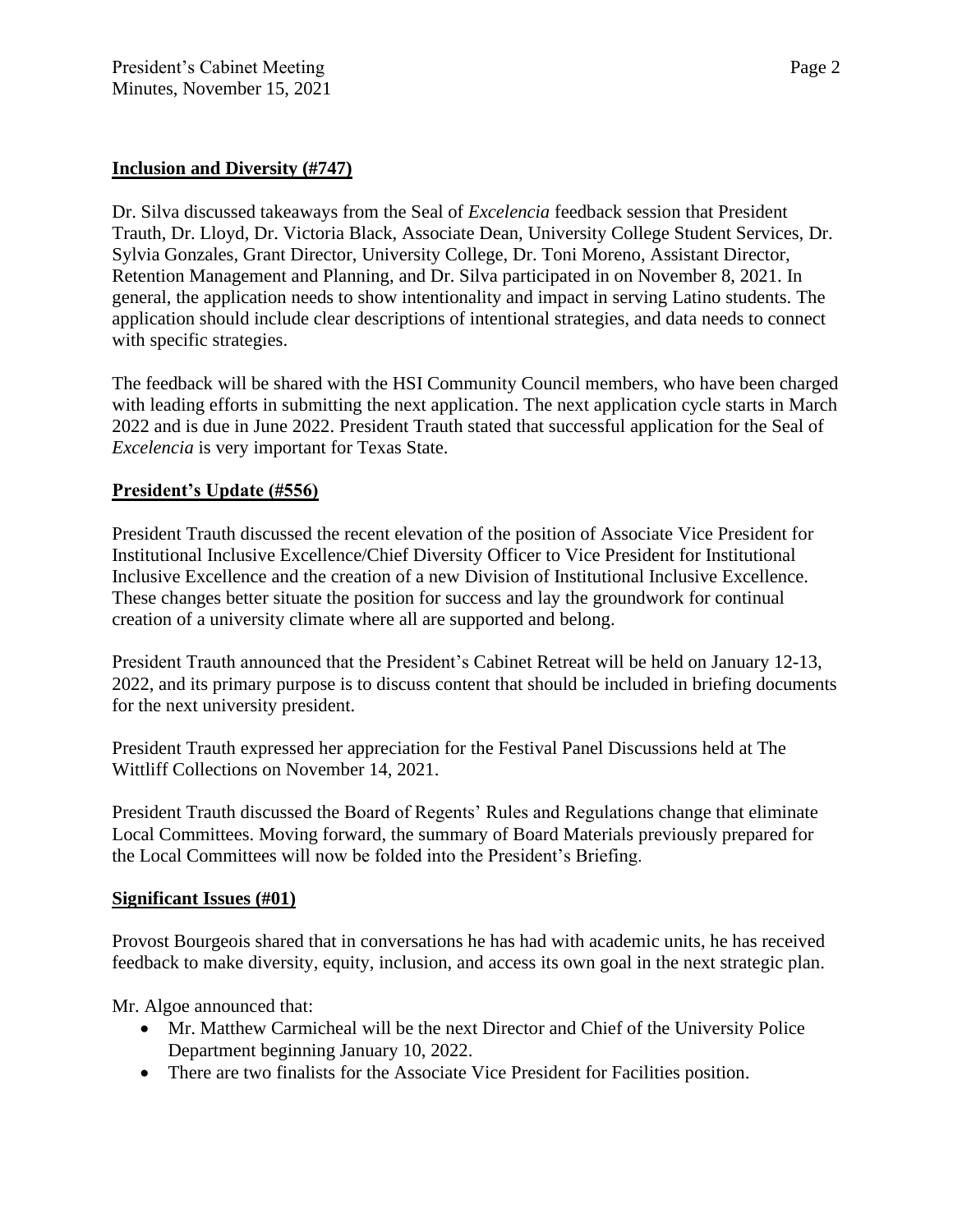Dr. Silva discussed takeaways from the Seal of *Excelencia* feedback session that President Trauth, Dr. Lloyd, Dr. Victoria Black, Associate Dean, University College Student Services, Dr. Sylvia Gonzales, Grant Director, University College, Dr. Toni Moreno, Assistant Director, Retention Management and Planning, and Dr. Silva participated in on November 8, 2021. In general, the application needs to show intentionality and impact in serving Latino students. The application should include clear descriptions of intentional strategies, and data needs to connect with specific strategies.

The feedback will be shared with the HSI Community Council members, who have been charged with leading efforts in submitting the next application. The next application cycle starts in March 2022 and is due in June 2022. President Trauth stated that successful application for the Seal of *Excelencia* is very important for Texas State.

# **President's Update (#556)**

President Trauth discussed the recent elevation of the position of Associate Vice President for Institutional Inclusive Excellence/Chief Diversity Officer to Vice President for Institutional Inclusive Excellence and the creation of a new Division of Institutional Inclusive Excellence. These changes better situate the position for success and lay the groundwork for continual creation of a university climate where all are supported and belong.

President Trauth announced that the President's Cabinet Retreat will be held on January 12-13, 2022, and its primary purpose is to discuss content that should be included in briefing documents for the next university president.

President Trauth expressed her appreciation for the Festival Panel Discussions held at The Wittliff Collections on November 14, 2021.

President Trauth discussed the Board of Regents' Rules and Regulations change that eliminate Local Committees. Moving forward, the summary of Board Materials previously prepared for the Local Committees will now be folded into the President's Briefing.

### **Significant Issues (#01)**

Provost Bourgeois shared that in conversations he has had with academic units, he has received feedback to make diversity, equity, inclusion, and access its own goal in the next strategic plan.

Mr. Algoe announced that:

- Mr. Matthew Carmicheal will be the next Director and Chief of the University Police Department beginning January 10, 2022.
- There are two finalists for the Associate Vice President for Facilities position.